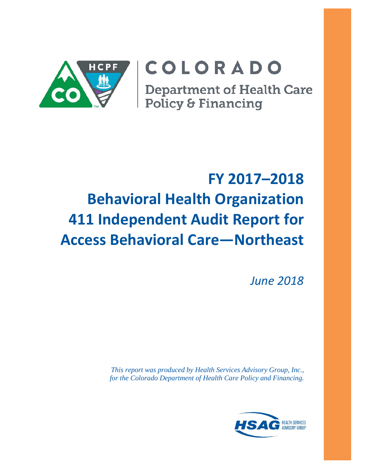

# COLORADO

**Department of Health Care** Policy & Financing

# **FY 2017–2018 Behavioral Health Organization 411 Independent Audit Report for Access Behavioral Care—Northeast**

*June 2018*

*This report was produced by Health Services Advisory Group, Inc., for the Colorado Department of Health Care Policy and Financing.*

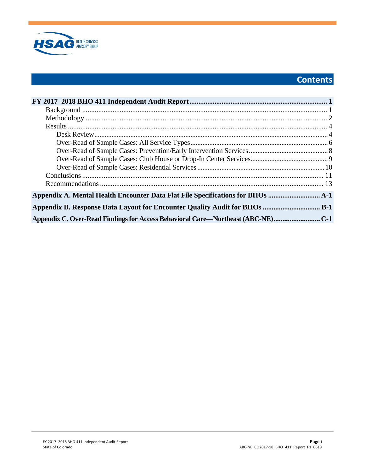

# **Contents**

| Appendix A. Mental Health Encounter Data Flat File Specifications for BHOs      |  |
|---------------------------------------------------------------------------------|--|
| Appendix B. Response Data Layout for Encounter Quality Audit for BHOs  B-1      |  |
| Appendix C. Over-Read Findings for Access Behavioral Care—Northeast (ABC-NE)C-1 |  |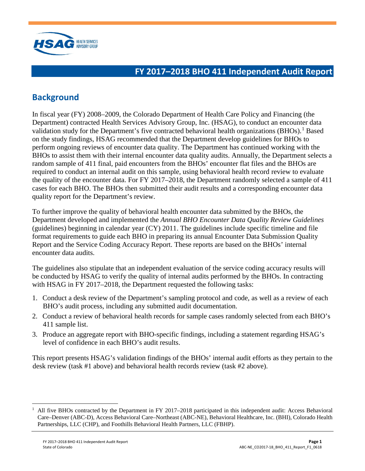

## <span id="page-2-0"></span>**FY 2017–2018 BHO 411 Independent Audit Report**

## <span id="page-2-1"></span>**Background**

In fiscal year (FY) 2008–2009, the Colorado Department of Health Care Policy and Financing (the Department) contracted Health Services Advisory Group, Inc. (HSAG), to conduct an encounter data validation study for the Department's five contracted behavioral health organizations  $(BHOs)$ .<sup>[1](#page-2-2)</sup> Based on the study findings, HSAG recommended that the Department develop guidelines for BHOs to perform ongoing reviews of encounter data quality. The Department has continued working with the BHOs to assist them with their internal encounter data quality audits. Annually, the Department selects a random sample of 411 final, paid encounters from the BHOs' encounter flat files and the BHOs are required to conduct an internal audit on this sample, using behavioral health record review to evaluate the quality of the encounter data. For FY 2017–2018, the Department randomly selected a sample of 411 cases for each BHO. The BHOs then submitted their audit results and a corresponding encounter data quality report for the Department's review.

To further improve the quality of behavioral health encounter data submitted by the BHOs, the Department developed and implemented the *Annual BHO Encounter Data Quality Review Guidelines* (guidelines) beginning in calendar year  $(CY)$  2011. The guidelines include specific timeline and file format requirements to guide each BHO in preparing its annual Encounter Data Submission Quality Report and the Service Coding Accuracy Report. These reports are based on the BHOs' internal encounter data audits.

The guidelines also stipulate that an independent evaluation of the service coding accuracy results will be conducted by HSAG to verify the quality of internal audits performed by the BHOs. In contracting with HSAG in FY 2017–2018, the Department requested the following tasks:

- 1. Conduct a desk review of the Department's sampling protocol and code, as well as a review of each BHO's audit process, including any submitted audit documentation.
- 2. Conduct a review of behavioral health records for sample cases randomly selected from each BHO's 411 sample list.
- 3. Produce an aggregate report with BHO-specific findings, including a statement regarding HSAG's level of confidence in each BHO's audit results.

This report presents HSAG's validation findings of the BHOs' internal audit efforts as they pertain to the desk review (task #1 above) and behavioral health records review (task #2 above).

<span id="page-2-2"></span> $1$  All five BHOs contracted by the Department in FY 2017–2018 participated in this independent audit: Access Behavioral Care–Denver (ABC-D), Access Behavioral Care–Northeast (ABC-NE), Behavioral Healthcare, Inc. (BHI), Colorado Health Partnerships, LLC (CHP), and Foothills Behavioral Health Partners, LLC (FBHP).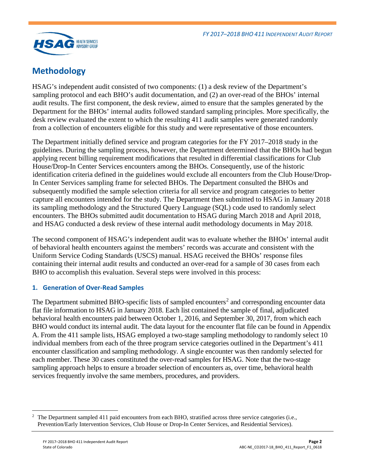

## <span id="page-3-0"></span>**Methodology**

HSAG's independent audit consisted of two components: (1) a desk review of the Department's sampling protocol and each BHO's audit documentation, and (2) an over-read of the BHOs' internal audit results. The first component, the desk review, aimed to ensure that the samples generated by the Department for the BHOs' internal audits followed standard sampling principles. More specifically, the desk review evaluated the extent to which the resulting 411 audit samples were generated randomly from a collection of encounters eligible for this study and were representative of those encounters.

The Department initially defined service and program categories for the FY 2017–2018 study in the guidelines. During the sampling process, however, the Department determined that the BHOs had begun applying recent billing requirement modifications that resulted in differential classifications for Club House/Drop-In Center Services encounters among the BHOs. Consequently, use of the historic identification criteria defined in the guidelines would exclude all encounters from the Club House/Drop-In Center Services sampling frame for selected BHOs. The Department consulted the BHOs and subsequently modified the sample selection criteria for all service and program categories to better capture all encounters intended for the study. The Department then submitted to HSAG in January 2018 its sampling methodology and the Structured Query Language (SQL) code used to randomly select encounters. The BHOs submitted audit documentation to HSAG during March 2018 and April 2018, and HSAG conducted a desk review of these internal audit methodology documents in May 2018.

The second component of HSAG's independent audit was to evaluate whether the BHOs' internal audit of behavioral health encounters against the members' records was accurate and consistent with the Uniform Service Coding Standards (USCS) manual. HSAG received the BHOs' response files containing their internal audit results and conducted an over-read for a sample of 30 cases from each BHO to accomplish this evaluation. Several steps were involved in this process:

## **1. Generation of Over-Read Samples**

The Department submitted BHO-specific lists of sampled encounters<sup>[2](#page-3-1)</sup> and corresponding encounter data flat file information to HSAG in January 2018. Each list contained the sample of final, adjudicated behavioral health encounters paid between October 1, 2016, and September 30, 2017, from which each BHO would conduct its internal audit. The data layout for the encounter flat file can be found in Appendix A. From the 411 sample lists, HSAG employed a two-stage sampling methodology to randomly select 10 individual members from each of the three program service categories outlined in the Department's 411 encounter classification and sampling methodology. A single encounter was then randomly selected for each member. These 30 cases constituted the over-read samples for HSAG. Note that the two-stage sampling approach helps to ensure a broader selection of encounters as, over time, behavioral health services frequently involve the same members, procedures, and providers.

<span id="page-3-1"></span> $\overline{a}$ 2 The Department sampled 411 paid encounters from each BHO, stratified across three service categories (i.e., Prevention/Early Intervention Services, Club House or Drop-In Center Services, and Residential Services).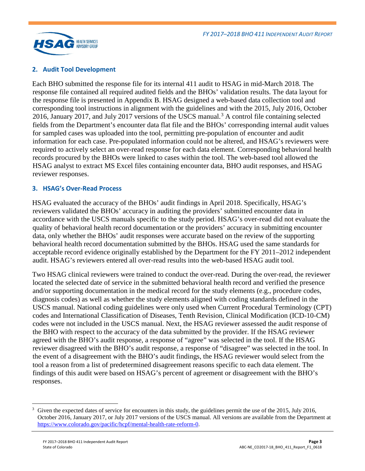

#### **2. Audit Tool Development**

Each BHO submitted the response file for its internal 411 audit to HSAG in mid-March 2018. The response file contained all required audited fields and the BHOs' validation results. The data layout for the response file is presented in Appendix B. HSAG designed a web-based data collection tool and corresponding tool instructions in alignment with the guidelines and with the 2015, July 2016, October 2016, January 2017, and July 2017 versions of the USCS manual.<sup>[3](#page-4-0)</sup> A control file containing selected fields from the Department's encounter data flat file and the BHOs' corresponding internal audit values for sampled cases was uploaded into the tool, permitting pre-population of encounter and audit information for each case. Pre-populated information could not be altered, and HSAG's reviewers were required to actively select an over-read response for each data element. Corresponding behavioral health records procured by the BHOs were linked to cases within the tool. The web-based tool allowed the HSAG analyst to extract MS Excel files containing encounter data, BHO audit responses, and HSAG reviewer responses.

#### **3. HSAG's Over-Read Process**

HSAG evaluated the accuracy of the BHOs' audit findings in April 2018. Specifically, HSAG's reviewers validated the BHOs' accuracy in auditing the providers' submitted encounter data in accordance with the USCS manuals specific to the study period. HSAG's over-read did not evaluate the quality of behavioral health record documentation or the providers' accuracy in submitting encounter data, only whether the BHOs' audit responses were accurate based on the review of the supporting behavioral health record documentation submitted by the BHOs. HSAG used the same standards for acceptable record evidence originally established by the Department for the FY 2011–2012 independent audit. HSAG's reviewers entered all over-read results into the web-based HSAG audit tool.

Two HSAG clinical reviewers were trained to conduct the over-read. During the over-read, the reviewer located the selected date of service in the submitted behavioral health record and verified the presence and/or supporting documentation in the medical record for the study elements (e.g., procedure codes, diagnosis codes) as well as whether the study elements aligned with coding standards defined in the USCS manual. National coding guidelines were only used when Current Procedural Terminology (CPT) codes and International Classification of Diseases, Tenth Revision, Clinical Modification (ICD-10-CM) codes were not included in the USCS manual. Next, the HSAG reviewer assessed the audit response of the BHO with respect to the accuracy of the data submitted by the provider. If the HSAG reviewer agreed with the BHO's audit response, a response of "agree" was selected in the tool. If the HSAG reviewer disagreed with the BHO's audit response, a response of "disagree" was selected in the tool. In the event of a disagreement with the BHO's audit findings, the HSAG reviewer would select from the tool a reason from a list of predetermined disagreement reasons specific to each data element. The findings of this audit were based on HSAG's percent of agreement or disagreement with the BHO's responses.

<span id="page-4-0"></span><sup>&</sup>lt;sup>3</sup> Given the expected dates of service for encounters in this study, the guidelines permit the use of the 2015, July 2016, October 2016, January 2017, or July 2017 versions of the USCS manual. All versions are available from the Department at [https://www.colorado.gov/pacific/hcpf/mental-health-rate-reform-0.](https://www.colorado.gov/pacific/hcpf/mental-health-rate-reform-0)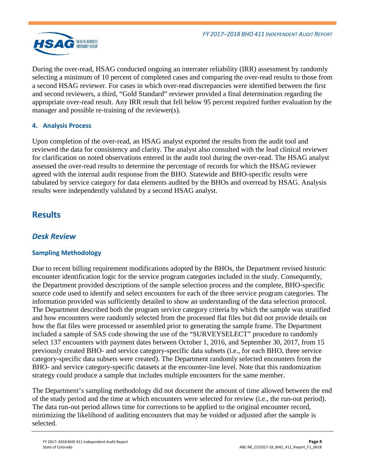

During the over-read, HSAG conducted ongoing an interrater reliability (IRR) assessment by randomly selecting a minimum of 10 percent of completed cases and comparing the over-read results to those from a second HSAG reviewer. For cases in which over-read discrepancies were identified between the first and second reviewers, a third, "Gold Standard" reviewer provided a final determination regarding the appropriate over-read result. Any IRR result that fell below 95 percent required further evaluation by the manager and possible re-training of the reviewer(s).

## **4. Analysis Process**

Upon completion of the over-read, an HSAG analyst exported the results from the audit tool and reviewed the data for consistency and clarity. The analyst also consulted with the lead clinical reviewer for clarification on noted observations entered in the audit tool during the over-read. The HSAG analyst assessed the over-read results to determine the percentage of records for which the HSAG reviewer agreed with the internal audit response from the BHO. Statewide and BHO-specific results were tabulated by service category for data elements audited by the BHOs and overread by HSAG. Analysis results were independently validated by a second HSAG analyst.

## <span id="page-5-0"></span>**Results**

## <span id="page-5-1"></span>*Desk Review*

## **Sampling Methodology**

Due to recent billing requirement modifications adopted by the BHOs, the Department revised historic encounter identification logic for the service program categories included in the study. Consequently, the Department provided descriptions of the sample selection process and the complete, BHO-specific source code used to identify and select encounters for each of the three service program categories. The information provided was sufficiently detailed to show an understanding of the data selection protocol. The Department described both the program service category criteria by which the sample was stratified and how encounters were randomly selected from the processed flat files but did not provide details on how the flat files were processed or assembled prior to generating the sample frame. The Department included a sample of SAS code showing the use of the "SURVEYSELECT" procedure to randomly select 137 encounters with payment dates between October 1, 2016, and September 30, 2017, from 15 previously created BHO- and service category-specific data subsets (i.e., for each BHO, three service category-specific data subsets were created). The Department randomly selected encounters from the BHO- and service category-specific datasets at the encounter-line level. Note that this randomization strategy could produce a sample that includes multiple encounters for the same member.

The Department's sampling methodology did not document the amount of time allowed between the end of the study period and the time at which encounters were selected for review (i.e., the run-out period). The data run-out period allows time for corrections to be applied to the original encounter record, minimizing the likelihood of auditing encounters that may be voided or adjusted after the sample is selected.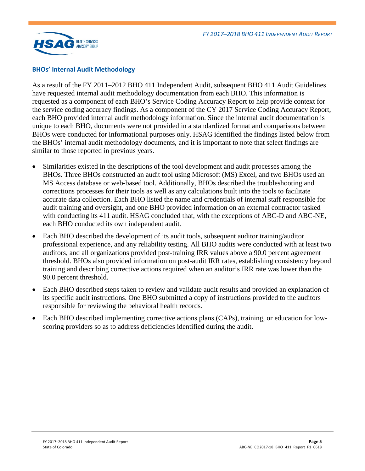

#### **BHOs' Internal Audit Methodology**

As a result of the FY 2011–2012 BHO 411 Independent Audit, subsequent BHO 411 Audit Guidelines have requested internal audit methodology documentation from each BHO. This information is requested as a component of each BHO's Service Coding Accuracy Report to help provide context for the service coding accuracy findings. As a component of the CY 2017 Service Coding Accuracy Report, each BHO provided internal audit methodology information. Since the internal audit documentation is unique to each BHO, documents were not provided in a standardized format and comparisons between BHOs were conducted for informational purposes only. HSAG identified the findings listed below from the BHOs' internal audit methodology documents, and it is important to note that select findings are similar to those reported in previous years.

- Similarities existed in the descriptions of the tool development and audit processes among the BHOs. Three BHOs constructed an audit tool using Microsoft (MS) Excel, and two BHOs used an MS Access database or web-based tool. Additionally, BHOs described the troubleshooting and corrections processes for their tools as well as any calculations built into the tools to facilitate accurate data collection. Each BHO listed the name and credentials of internal staff responsible for audit training and oversight, and one BHO provided information on an external contractor tasked with conducting its 411 audit. HSAG concluded that, with the exceptions of ABC-D and ABC-NE, each BHO conducted its own independent audit.
- Each BHO described the development of its audit tools, subsequent auditor training/auditor professional experience, and any reliability testing. All BHO audits were conducted with at least two auditors, and all organizations provided post-training IRR values above a 90.0 percent agreement threshold. BHOs also provided information on post-audit IRR rates, establishing consistency beyond training and describing corrective actions required when an auditor's IRR rate was lower than the 90.0 percent threshold.
- Each BHO described steps taken to review and validate audit results and provided an explanation of its specific audit instructions. One BHO submitted a copy of instructions provided to the auditors responsible for reviewing the behavioral health records.
- Each BHO described implementing corrective actions plans (CAPs), training, or education for lowscoring providers so as to address deficiencies identified during the audit.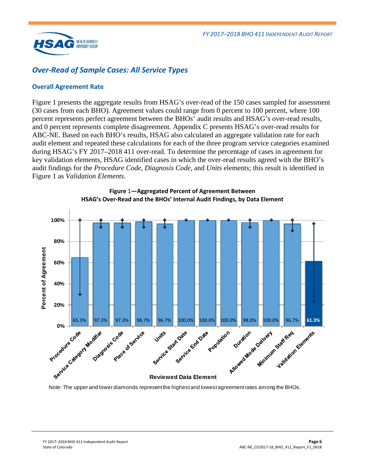

## <span id="page-7-0"></span>*Over-Read of Sample Cases: All Service Types*

#### **Overall Agreement Rate**

[Figure 1](#page-7-1) presents the aggregate results from HSAG's over-read of the 150 cases sampled for assessment (30 cases from each BHO). Agreement values could range from 0 percent to 100 percent, where 100 percent represents perfect agreement between the BHOs' audit results and HSAG's over-read results, and 0 percent represents complete disagreement. Appendix C presents HSAG's over-read results for ABC-NE. Based on each BHO's results, HSAG also calculated an aggregate validation rate for each audit element and repeated these calculations for each of the three program service categories examined during HSAG's FY 2017–2018 411 over-read. To determine the percentage of cases in agreement for key validation elements, HSAG identified cases in which the over-read results agreed with the BHO's audit findings for the *Procedure Code*, *Diagnosis Code*, and *Units* elements; this result is identified in [Figure 1](#page-7-1) as *Validation Elements*.

<span id="page-7-1"></span>

**Figure** 1**—Aggregated Percent of Agreement Between HSAG's Over-Read and the BHOs' Internal Audit Findings, by Data Element**

Note: The upper and lower diamonds represent the highest and lowest agreement rates among the BHOs.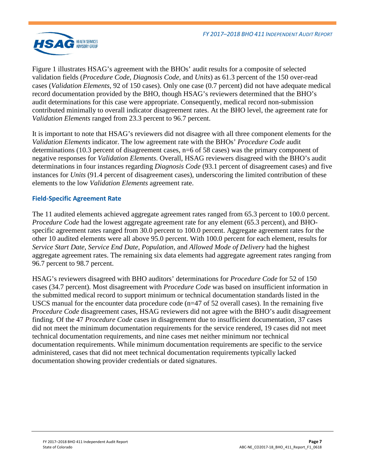

[Figure 1](#page-7-1) illustrates HSAG's agreement with the BHOs' audit results for a composite of selected validation fields (*Procedure Code*, *Diagnosis Code*, and *Units*) as 61.3 percent of the 150 over-read cases (*Validation Elements*, 92 of 150 cases). Only one case (0.7 percent) did not have adequate medical record documentation provided by the BHO, though HSAG's reviewers determined that the BHO's audit determinations for this case were appropriate. Consequently, medical record non-submission contributed minimally to overall indicator disagreement rates. At the BHO level, the agreement rate for *Validation Elements* ranged from 23.3 percent to 96.7 percent.

It is important to note that HSAG's reviewers did not disagree with all three component elements for the *Validation Elements* indicator. The low agreement rate with the BHOs' *Procedure Code* audit determinations (10.3 percent of disagreement cases, n=6 of 58 cases) was the primary component of negative responses for *Validation Elements*. Overall, HSAG reviewers disagreed with the BHO's audit determinations in four instances regarding *Diagnosis Code* (93.1 percent of disagreement cases) and five instances for *Units* (91.4 percent of disagreement cases), underscoring the limited contribution of these elements to the low *Validation Elements* agreement rate.

#### **Field-Specific Agreement Rate**

The 11 audited elements achieved aggregate agreement rates ranged from 65.3 percent to 100.0 percent. *Procedure Code* had the lowest aggregate agreement rate for any element (65.3 percent), and BHOspecific agreement rates ranged from 30.0 percent to 100.0 percent. Aggregate agreement rates for the other 10 audited elements were all above 95.0 percent. With 100.0 percent for each element, results for *Service Start Date*, *Service End Date*, *Population,* and *Allowed Mode of Delivery* had the highest aggregate agreement rates. The remaining six data elements had aggregate agreement rates ranging from 96.7 percent to 98.7 percent.

HSAG's reviewers disagreed with BHO auditors' determinations for *Procedure Code* for 52 of 150 cases (34.7 percent). Most disagreement with *Procedure Code* was based on insufficient information in the submitted medical record to support minimum or technical documentation standards listed in the USCS manual for the encounter data procedure code ( $n=47$  of 52 overall cases). In the remaining five *Procedure Code* disagreement cases, HSAG reviewers did not agree with the BHO's audit disagreement finding. Of the 47 *Procedure Code* cases in disagreement due to insufficient documentation, 37 cases did not meet the minimum documentation requirements for the service rendered, 19 cases did not meet technical documentation requirements, and nine cases met neither minimum nor technical documentation requirements. While minimum documentation requirements are specific to the service administered, cases that did not meet technical documentation requirements typically lacked documentation showing provider credentials or dated signatures.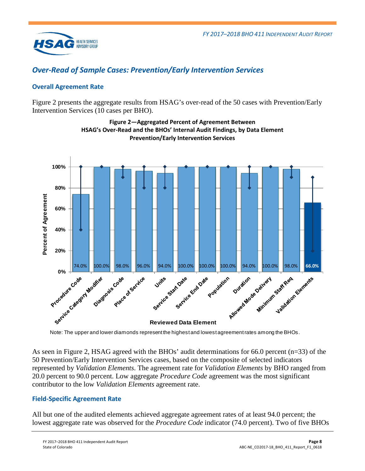

## <span id="page-9-0"></span>*Over-Read of Sample Cases: Prevention/Early Intervention Services*

## **Overall Agreement Rate**

<span id="page-9-1"></span>[Figure 2](#page-9-1) presents the aggregate results from HSAG's over-read of the 50 cases with Prevention/Early Intervention Services (10 cases per BHO).



**Figure 2—Aggregated Percent of Agreement Between HSAG's Over-Read and the BHOs' Internal Audit Findings, by Data Element Prevention/Early Intervention Services**

Note: The upper and lower diamonds represent the highest and lowest agreement rates among the BHOs.

As seen in [Figure 2,](#page-9-1) HSAG agreed with the BHOs' audit determinations for 66.0 percent (n=33) of the 50 Prevention/Early Intervention Services cases, based on the composite of selected indicators represented by *Validation Elements*. The agreement rate for *Validation Elements* by BHO ranged from 20.0 percent to 90.0 percent. Low aggregate *Procedure Code* agreement was the most significant contributor to the low *Validation Elements* agreement rate.

## **Field-Specific Agreement Rate**

All but one of the audited elements achieved aggregate agreement rates of at least 94.0 percent; the lowest aggregate rate was observed for the *Procedure Code* indicator (74.0 percent). Two of five BHOs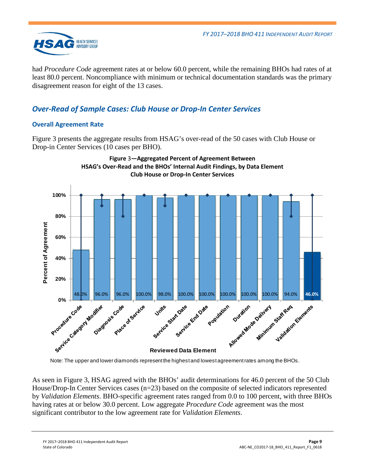

had *Procedure Code* agreement rates at or below 60.0 percent, while the remaining BHOs had rates of at least 80.0 percent. Noncompliance with minimum or technical documentation standards was the primary disagreement reason for eight of the 13 cases.

## <span id="page-10-0"></span>*Over-Read of Sample Cases: Club House or Drop-In Center Services*

## **Overall Agreement Rate**

[Figure 3](#page-10-1) presents the aggregate results from HSAG's over-read of the 50 cases with Club House or Drop-in Center Services (10 cases per BHO).

<span id="page-10-1"></span>

Note: The upper and lower diamonds represent the highest and lowest agreement rates among the BHOs.

As seen in [Figure 3,](#page-10-1) HSAG agreed with the BHOs' audit determinations for 46.0 percent of the 50 Club House/Drop-In Center Services cases (n=23) based on the composite of selected indicators represented by *Validation Elements*. BHO-specific agreement rates ranged from 0.0 to 100 percent, with three BHOs having rates at or below 30.0 percent. Low aggregate *Procedure Code* agreement was the most significant contributor to the low agreement rate for *Validation Elements*.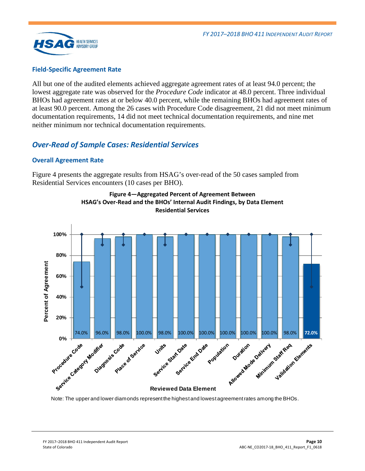

#### **Field-Specific Agreement Rate**

All but one of the audited elements achieved aggregate agreement rates of at least 94.0 percent; the lowest aggregate rate was observed for the *Procedure Code* indicator at 48.0 percent. Three individual BHOs had agreement rates at or below 40.0 percent, while the remaining BHOs had agreement rates of at least 90.0 percent. Among the 26 cases with Procedure Code disagreement, 21 did not meet minimum documentation requirements, 14 did not meet technical documentation requirements, and nine met neither minimum nor technical documentation requirements.

## <span id="page-11-0"></span>*Over-Read of Sample Cases: Residential Services*

#### **Overall Agreement Rate**

<span id="page-11-1"></span>[Figure 4](#page-11-1) presents the aggregate results from HSAG's over-read of the 50 cases sampled from Residential Services encounters (10 cases per BHO).





Note: The upper and lower diamonds represent the highest and lowest agreement rates among the BHOs.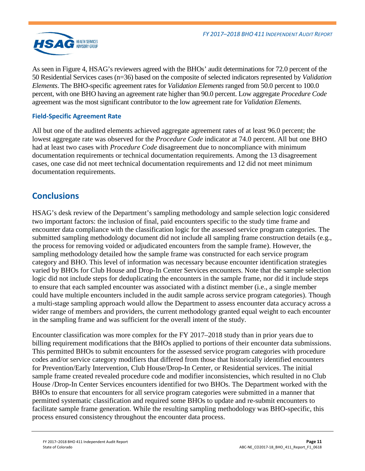

As seen in [Figure 4,](#page-11-1) HSAG's reviewers agreed with the BHOs' audit determinations for 72.0 percent of the 50 Residential Services cases (n=36) based on the composite of selected indicators represented by *Validation Elements*. The BHO-specific agreement rates for *Validation Elements* ranged from 50.0 percent to 100.0 percent, with one BHO having an agreement rate higher than 90.0 percent. Low aggregate *Procedure Code* agreement was the most significant contributor to the low agreement rate for *Validation Elements*.

## **Field-Specific Agreement Rate**

All but one of the audited elements achieved aggregate agreement rates of at least 96.0 percent; the lowest aggregate rate was observed for the *Procedure Code* indicator at 74.0 percent. All but one BHO had at least two cases with *Procedure Code* disagreement due to noncompliance with minimum documentation requirements or technical documentation requirements. Among the 13 disagreement cases, one case did not meet technical documentation requirements and 12 did not meet minimum documentation requirements.

## <span id="page-12-0"></span>**Conclusions**

HSAG's desk review of the Department's sampling methodology and sample selection logic considered two important factors: the inclusion of final, paid encounters specific to the study time frame and encounter data compliance with the classification logic for the assessed service program categories. The submitted sampling methodology document did not include all sampling frame construction details (e.g., the process for removing voided or adjudicated encounters from the sample frame). However, the sampling methodology detailed how the sample frame was constructed for each service program category and BHO. This level of information was necessary because encounter identification strategies varied by BHOs for Club House and Drop-In Center Services encounters. Note that the sample selection logic did not include steps for deduplicating the encounters in the sample frame, nor did it include steps to ensure that each sampled encounter was associated with a distinct member (i.e., a single member could have multiple encounters included in the audit sample across service program categories). Though a multi-stage sampling approach would allow the Department to assess encounter data accuracy across a wider range of members and providers, the current methodology granted equal weight to each encounter in the sampling frame and was sufficient for the overall intent of the study.

Encounter classification was more complex for the FY 2017–2018 study than in prior years due to billing requirement modifications that the BHOs applied to portions of their encounter data submissions. This permitted BHOs to submit encounters for the assessed service program categories with procedure codes and/or service category modifiers that differed from those that historically identified encounters for Prevention/Early Intervention, Club House/Drop-In Center, or Residential services. The initial sample frame created revealed procedure code and modifier inconsistencies, which resulted in no Club House /Drop-In Center Services encounters identified for two BHOs. The Department worked with the BHOs to ensure that encounters for all service program categories were submitted in a manner that permitted systematic classification and required some BHOs to update and re-submit encounters to facilitate sample frame generation. While the resulting sampling methodology was BHO-specific, this process ensured consistency throughout the encounter data process.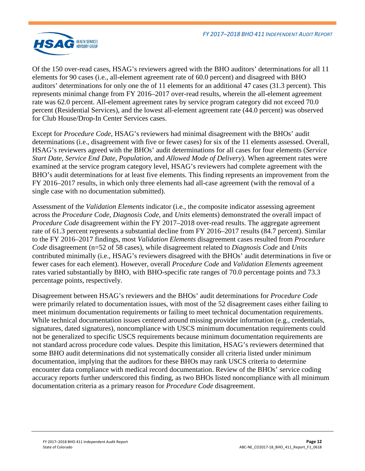

Of the 150 over-read cases, HSAG's reviewers agreed with the BHO auditors' determinations for all 11 elements for 90 cases (i.e., all-element agreement rate of 60.0 percent) and disagreed with BHO auditors' determinations for only one the of 11 elements for an additional 47 cases (31.3 percent). This represents minimal change from FY 2016–2017 over-read results, wherein the all-element agreement rate was 62.0 percent. All-element agreement rates by service program category did not exceed 70.0 percent (Residential Services), and the lowest all-element agreement rate (44.0 percent) was observed for Club House/Drop-In Center Services cases.

Except for *Procedure Code*, HSAG's reviewers had minimal disagreement with the BHOs' audit determinations (i.e., disagreement with five or fewer cases) for six of the 11 elements assessed. Overall, HSAG's reviewers agreed with the BHOs' audit determinations for all cases for four elements (*Service Start Date*, *Service End Date*, *Population*, and *Allowed Mode of Delivery*). When agreement rates were examined at the service program category level, HSAG's reviewers had complete agreement with the BHO's audit determinations for at least five elements. This finding represents an improvement from the FY 2016–2017 results, in which only three elements had all-case agreement (with the removal of a single case with no documentation submitted).

Assessment of the *Validation Elements* indicator (i.e., the composite indicator assessing agreement across the *Procedure Code*, *Diagnosis Code*, and *Units* elements) demonstrated the overall impact of *Procedure Code* disagreement within the FY 2017–2018 over-read results. The aggregate agreement rate of 61.3 percent represents a substantial decline from FY 2016–2017 results (84.7 percent). Similar to the FY 2016–2017 findings, most *Validation Elements* disagreement cases resulted from *Procedure Code* disagreement (n=52 of 58 cases), while disagreement related to *Diagnosis Code* and *Units* contributed minimally (i.e., HSAG's reviewers disagreed with the BHOs' audit determinations in five or fewer cases for each element). However, overall *Procedure Code* and *Validation Elements* agreement rates varied substantially by BHO, with BHO-specific rate ranges of 70.0 percentage points and 73.3 percentage points, respectively.

Disagreement between HSAG's reviewers and the BHOs' audit determinations for *Procedure Code* were primarily related to documentation issues, with most of the 52 disagreement cases either failing to meet minimum documentation requirements or failing to meet technical documentation requirements. While technical documentation issues centered around missing provider information (e.g., credentials, signatures, dated signatures), noncompliance with USCS minimum documentation requirements could not be generalized to specific USCS requirements because minimum documentation requirements are not standard across procedure code values. Despite this limitation, HSAG's reviewers determined that some BHO audit determinations did not systematically consider all criteria listed under minimum documentation, implying that the auditors for these BHOs may rank USCS criteria to determine encounter data compliance with medical record documentation. Review of the BHOs' service coding accuracy reports further underscored this finding, as two BHOs listed noncompliance with all minimum documentation criteria as a primary reason for *Procedure Code* disagreement.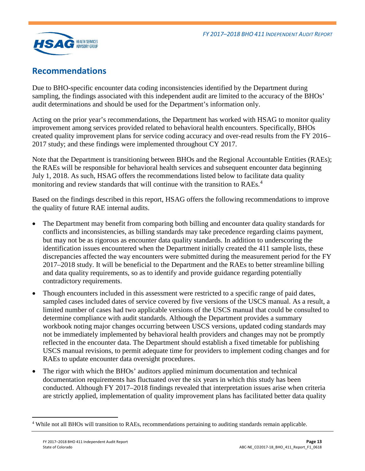

## <span id="page-14-0"></span>**Recommendations**

Due to BHO-specific encounter data coding inconsistencies identified by the Department during sampling, the findings associated with this independent audit are limited to the accuracy of the BHOs' audit determinations and should be used for the Department's information only.

Acting on the prior year's recommendations, the Department has worked with HSAG to monitor quality improvement among services provided related to behavioral health encounters. Specifically, BHOs created quality improvement plans for service coding accuracy and over-read results from the FY 2016– 2017 study; and these findings were implemented throughout CY 2017.

Note that the Department is transitioning between BHOs and the Regional Accountable Entities (RAEs); the RAEs will be responsible for behavioral health services and subsequent encounter data beginning July 1, 2018. As such, HSAG offers the recommendations listed below to facilitate data quality monitoring and review standards that will continue with the transition to RAEs.<sup>[4](#page-14-1)</sup>

Based on the findings described in this report, HSAG offers the following recommendations to improve the quality of future RAE internal audits.

- The Department may benefit from comparing both billing and encounter data quality standards for conflicts and inconsistencies, as billing standards may take precedence regarding claims payment, but may not be as rigorous as encounter data quality standards. In addition to underscoring the identification issues encountered when the Department initially created the 411 sample lists, these discrepancies affected the way encounters were submitted during the measurement period for the FY 2017–2018 study. It will be beneficial to the Department and the RAEs to better streamline billing and data quality requirements, so as to identify and provide guidance regarding potentially contradictory requirements.
- Though encounters included in this assessment were restricted to a specific range of paid dates, sampled cases included dates of service covered by five versions of the USCS manual. As a result, a limited number of cases had two applicable versions of the USCS manual that could be consulted to determine compliance with audit standards. Although the Department provides a summary workbook noting major changes occurring between USCS versions, updated coding standards may not be immediately implemented by behavioral health providers and changes may not be promptly reflected in the encounter data. The Department should establish a fixed timetable for publishing USCS manual revisions, to permit adequate time for providers to implement coding changes and for RAEs to update encounter data oversight procedures.
- The rigor with which the BHOs' auditors applied minimum documentation and technical documentation requirements has fluctuated over the six years in which this study has been conducted. Although FY 2017–2018 findings revealed that interpretation issues arise when criteria are strictly applied, implementation of quality improvement plans has facilitated better data quality

<span id="page-14-1"></span> <sup>4</sup> While not all BHOs will transition to RAEs, recommendations pertaining to auditing standards remain applicable.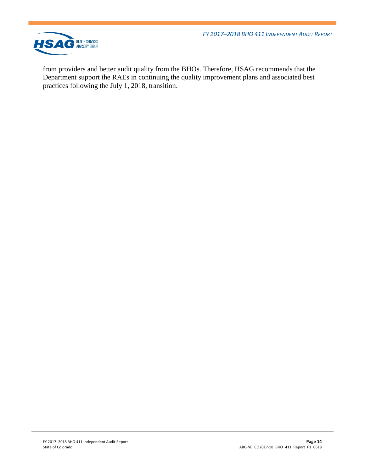*FY 2017–2018 BHO 411 INDEPENDENT AUDIT REPORT*



from providers and better audit quality from the BHOs. Therefore, HSAG recommends that the Department support the RAEs in continuing the quality improvement plans and associated best practices following the July 1, 2018, transition.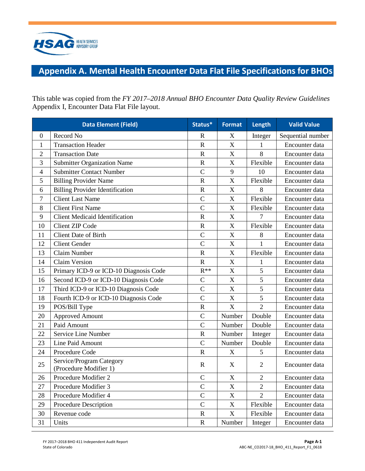

# <span id="page-16-0"></span>**Appendix A. Mental Health Encounter Data Flat File Specifications for BHOs**

This table was copied from the *FY 2017–2018 Annual BHO Encounter Data Quality Review Guidelines*  Appendix I, Encounter Data Flat File layout.

|                | <b>Data Element (Field)</b>                        | Status*               | <b>Format</b>             | Length         | <b>Valid Value</b> |
|----------------|----------------------------------------------------|-----------------------|---------------------------|----------------|--------------------|
| $\mathbf{0}$   | Record No                                          | R                     | $\boldsymbol{\mathrm{X}}$ | Integer        | Sequential number  |
| $\mathbf{1}$   | <b>Transaction Header</b>                          | $\mathbf R$           | $\bar{X}$                 | $\mathbf{1}$   | Encounter data     |
| $\overline{2}$ | <b>Transaction Date</b>                            | $\mathbf R$           | $\boldsymbol{\mathrm{X}}$ | 8              | Encounter data     |
| 3              | <b>Submitter Organization Name</b>                 | $\mathbf R$           | $\boldsymbol{\mathrm{X}}$ | Flexible       | Encounter data     |
| $\overline{4}$ | <b>Submitter Contact Number</b>                    | $\mathsf{C}$          | 9                         | 10             | Encounter data     |
| 5              | <b>Billing Provider Name</b>                       | $\overline{\text{R}}$ | $\boldsymbol{\mathrm{X}}$ | Flexible       | Encounter data     |
| 6              | <b>Billing Provider Identification</b>             | $\mathbf R$           | X                         | 8              | Encounter data     |
| $\overline{7}$ | <b>Client Last Name</b>                            | $\overline{C}$        | X                         | Flexible       | Encounter data     |
| 8              | <b>Client First Name</b>                           | $\overline{C}$        | X                         | Flexible       | Encounter data     |
| 9              | <b>Client Medicaid Identification</b>              | $\overline{R}$        | X                         | 7              | Encounter data     |
| 10             | <b>Client ZIP Code</b>                             | $\mathbf R$           | X                         | Flexible       | Encounter data     |
| 11             | <b>Client Date of Birth</b>                        | $\overline{C}$        | $\overline{X}$            | 8              | Encounter data     |
| 12             | <b>Client Gender</b>                               | $\overline{C}$        | X                         | 1              | Encounter data     |
| 13             | Claim Number                                       | $\mathbf R$           | $\bar{X}$                 | Flexible       | Encounter data     |
| 14             | <b>Claim Version</b>                               | $\mathbf R$           | $\mathbf X$               | 1              | Encounter data     |
| 15             | Primary ICD-9 or ICD-10 Diagnosis Code             | $R^{**}$              | $\mathbf X$               | 5              | Encounter data     |
| 16             | Second ICD-9 or ICD-10 Diagnosis Code              | $\mathsf{C}$          | $\overline{X}$            | 5              | Encounter data     |
| 17             | Third ICD-9 or ICD-10 Diagnosis Code               | $\overline{C}$        | X                         | 5              | Encounter data     |
| 18             | Fourth ICD-9 or ICD-10 Diagnosis Code              | $\overline{C}$        | X                         | 5              | Encounter data     |
| 19             | POS/Bill Type                                      | R                     | X                         | $\overline{2}$ | Encounter data     |
| 20             | <b>Approved Amount</b>                             | $\overline{C}$        | Number                    | Double         | Encounter data     |
| 21             | Paid Amount                                        | $\overline{C}$        | Number                    | Double         | Encounter data     |
| 22             | Service Line Number                                | $\mathbf R$           | Number                    | Integer        | Encounter data     |
| 23             | Line Paid Amount                                   | $\overline{C}$        | Number                    | Double         | Encounter data     |
| 24             | Procedure Code                                     | $\overline{R}$        | X                         | 5              | Encounter data     |
| 25             | Service/Program Category<br>(Procedure Modifier 1) | $\mathbf R$           | $\boldsymbol{\mathrm{X}}$ | $\overline{2}$ | Encounter data     |
| 26             | Procedure Modifier 2                               | $\overline{C}$        | $\boldsymbol{\mathrm{X}}$ | $\overline{2}$ | Encounter data     |
| 27             | Procedure Modifier 3                               | $\overline{C}$        | X                         | $\overline{2}$ | Encounter data     |
| 28             | Procedure Modifier 4                               | $\overline{C}$        | $\boldsymbol{\mathrm{X}}$ | $\overline{2}$ | Encounter data     |
| 29             | Procedure Description                              | $\mathcal{C}$         | $\mathbf X$               | Flexible       | Encounter data     |
| 30             | Revenue code                                       | $\mathbf R$           | X                         | Flexible       | Encounter data     |
| 31             | Units                                              | $\mathbf R$           | Number                    | Integer        | Encounter data     |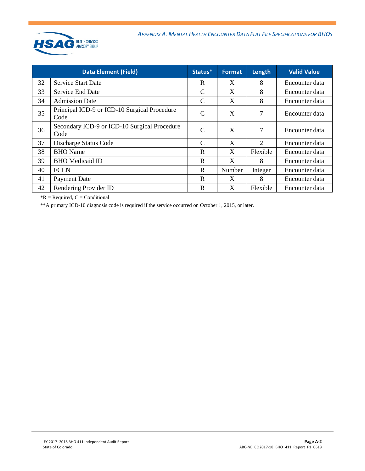

| <b>Data Element (Field)</b> |                                                      | Status*       | <b>Format</b> | Length                      | <b>Valid Value</b> |
|-----------------------------|------------------------------------------------------|---------------|---------------|-----------------------------|--------------------|
| 32                          | <b>Service Start Date</b>                            | R             | X             | 8                           | Encounter data     |
| 33                          | <b>Service End Date</b>                              | C             | X             | 8                           | Encounter data     |
| 34                          | <b>Admission Date</b>                                | C             | X             | 8                           | Encounter data     |
| 35                          | Principal ICD-9 or ICD-10 Surgical Procedure<br>Code | $\mathcal{C}$ | X             | 7                           | Encounter data     |
| 36                          | Secondary ICD-9 or ICD-10 Surgical Procedure<br>Code | $\mathcal{C}$ | X             | 7                           | Encounter data     |
| 37                          | Discharge Status Code                                | $\mathcal{C}$ | X             | $\mathcal{D}_{\mathcal{L}}$ | Encounter data     |
| 38                          | <b>BHO</b> Name                                      | $\mathbf R$   | X             | Flexible                    | Encounter data     |
| 39                          | <b>BHO</b> Medicaid ID                               | $\mathbf R$   | X             | 8                           | Encounter data     |
| 40                          | <b>FCLN</b>                                          | R             | Number        | Integer                     | Encounter data     |
| 41                          | <b>Payment Date</b>                                  | R             | X             | 8                           | Encounter data     |
| 42                          | Rendering Provider ID                                | R             | X             | Flexible                    | Encounter data     |

 $*R$  = Required,  $C$  = Conditional

\*\*A primary ICD-10 diagnosis code is required if the service occurred on October 1, 2015, or later.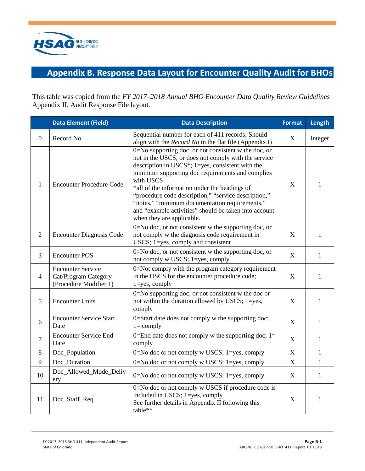

# <span id="page-18-0"></span>**Appendix B. Response Data Layout for Encounter Quality Audit for BHOs**

This table was copied from the *FY 2017–2018 Annual BHO Encounter Data Quality Review Guidelines*  Appendix II, Audit Response File layout.

|                | <b>Data Element (Field)</b>                                                | <b>Data Description</b>                                                                                                                                                                                                                                                                                                                                                                                                                                                                 | <b>Format</b> | Length       |
|----------------|----------------------------------------------------------------------------|-----------------------------------------------------------------------------------------------------------------------------------------------------------------------------------------------------------------------------------------------------------------------------------------------------------------------------------------------------------------------------------------------------------------------------------------------------------------------------------------|---------------|--------------|
| $\overline{0}$ | Record No                                                                  | Sequential number for each of 411 records; Should<br>align with the <i>Record No</i> in the flat file (Appendix I)                                                                                                                                                                                                                                                                                                                                                                      | $\mathbf X$   | Integer      |
| $\mathbf{1}$   | <b>Encounter Procedure Code</b>                                            | 0=No supporting doc, or not consistent w the doc, or<br>not in the USCS, or does not comply with the service<br>description in USCS*; $1 = yes$ , consistent with the<br>minimum supporting doc requirements and complies<br>with USCS<br>*all of the information under the headings of<br>"procedure code description," "service description,"<br>"notes," "minimum documentation requirements,"<br>and "example activities" should be taken into account<br>when they are applicable. |               | 1            |
| $\overline{2}$ | <b>Encounter Diagnosis Code</b>                                            | 0=No doc, or not consistent w the supporting doc, or<br>not comply w the diagnosis code requirement in<br>USCS; 1=yes, comply and consistent                                                                                                                                                                                                                                                                                                                                            |               | $\mathbf{1}$ |
| 3              | <b>Encounter POS</b>                                                       | 0=No doc, or not consistent w the supporting doc, or<br>not comply w USCS; 1=yes, comply                                                                                                                                                                                                                                                                                                                                                                                                | X             | $\mathbf{1}$ |
| $\overline{4}$ | <b>Encounter Service</b><br>Cat/Program Category<br>(Procedure Modifier 1) | 0=Not comply with the program category requirement<br>in the USCS for the encounter procedure code;<br>$1 = yes$ , comply                                                                                                                                                                                                                                                                                                                                                               |               | $\mathbf{1}$ |
| 5              | <b>Encounter Units</b>                                                     | $0 = No$ supporting doc, or not consistent w the doc or<br>not within the duration allowed by USCS; 1=yes,<br>comply                                                                                                                                                                                                                                                                                                                                                                    |               | $\mathbf{1}$ |
| 6              | <b>Encounter Service Start</b><br>Date                                     | 0=Start date does not comply w the supporting doc;<br>$l = \text{comply}$                                                                                                                                                                                                                                                                                                                                                                                                               | X             | $\mathbf{1}$ |
| $\overline{7}$ | <b>Encounter Service End</b><br>Date                                       | 0=End date does not comply w the supporting doc; $1=$<br>comply                                                                                                                                                                                                                                                                                                                                                                                                                         | X             | $\mathbf{1}$ |
| 8              | Doc_Population                                                             | 0=No doc or not comply w USCS; 1=yes, comply                                                                                                                                                                                                                                                                                                                                                                                                                                            | X             | $\mathbf{1}$ |
| 9              | Doc_Duration                                                               | 0=No doc or not comply w USCS; 1=yes, comply                                                                                                                                                                                                                                                                                                                                                                                                                                            | X             | $\mathbf{1}$ |
| 10             | Doc_Allowed_Mode_Deliv<br>ery                                              | 0=No doc or not comply w USCS; 1=yes, comply                                                                                                                                                                                                                                                                                                                                                                                                                                            | $\mathbf X$   | $\mathbf{1}$ |
| 11             | Doc_Staff_Req                                                              | 0=No doc or not comply w USCS if procedure code is<br>included in USCS; 1=yes, comply<br>See further details in Appendix II following this<br>table**                                                                                                                                                                                                                                                                                                                                   | X             | $\mathbf{1}$ |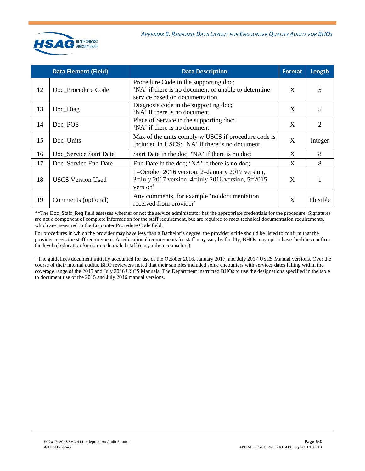

|    | <b>Data Element (Field)</b> | <b>Data Description</b>                                                                                                         | <b>Format</b> | Length   |
|----|-----------------------------|---------------------------------------------------------------------------------------------------------------------------------|---------------|----------|
| 12 | Doc Procedure Code          | Procedure Code in the supporting doc;<br>'NA' if there is no document or unable to determine<br>service based on documentation  | X             | 5        |
| 13 | Doc_Diag                    | Diagnosis code in the supporting doc;<br>'NA' if there is no document                                                           | X             | 5        |
| 14 | Doc_POS                     | Place of Service in the supporting doc;<br>'NA' if there is no document                                                         | X             | 2        |
| 15 | Doc_Units                   | Max of the units comply w USCS if procedure code is<br>included in USCS; 'NA' if there is no document                           | X             | Integer  |
| 16 | Doc_Service Start Date      | Start Date in the doc; 'NA' if there is no doc;                                                                                 | X             | 8        |
| 17 | Doc_Service End Date        | End Date in the doc; 'NA' if there is no doc;                                                                                   | X             | 8        |
| 18 | <b>USCS Version Used</b>    | 1=October 2016 version, 2=January 2017 version,<br>$3 =$ July 2017 version, 4=July 2016 version, 5=2015<br>version <sup>†</sup> | X             |          |
| 19 | Comments (optional)         | Any comments, for example 'no documentation<br>received from provider'                                                          | X             | Flexible |

\*\*The Doc\_Staff\_Req field assesses whether or not the service administrator has the appropriate credentials for the procedure. Signatures are not a component of complete information for the staff requirement, but are required to meet technical documentation requirements, which are measured in the Encounter Procedure Code field.

For procedures in which the provider may have less than a Bachelor's degree, the provider's title should be listed to confirm that the provider meets the staff requirement. As educational requirements for staff may vary by facility, BHOs may opt to have facilities confirm the level of education for non-credentialed staff (e.g., milieu counselors).

† The guidelines document initially accounted for use of the October 2016, January 2017, and July 2017 USCS Manual versions. Over the course of their internal audits, BHO reviewers noted that their samples included some encounters with services dates falling within the coverage range of the 2015 and July 2016 USCS Manuals. The Department instructed BHOs to use the designations specified in the table to document use of the 2015 and July 2016 manual versions.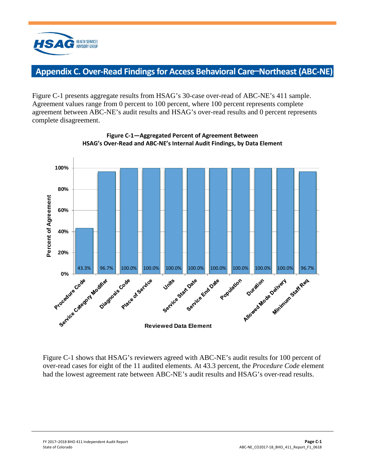

# <span id="page-20-0"></span>**Appendix C. Over-Read Findings for Access Behavioral Care**—**Northeast (ABC-NE)**

Figure C-1 presents aggregate results from HSAG's 30-case over-read of ABC-NE's 411 sample. Agreement values range from 0 percent to 100 percent, where 100 percent represents complete agreement between ABC-NE's audit results and HSAG's over-read results and 0 percent represents complete disagreement.



**Figure C-1—Aggregated Percent of Agreement Between HSAG's Over-Read and ABC-NE's Internal Audit Findings, by Data Element**

Figure C-1 shows that HSAG's reviewers agreed with ABC-NE's audit results for 100 percent of over-read cases for eight of the 11 audited elements. At 43.3 percent, the *Procedure Code* element had the lowest agreement rate between ABC-NE's audit results and HSAG's over-read results.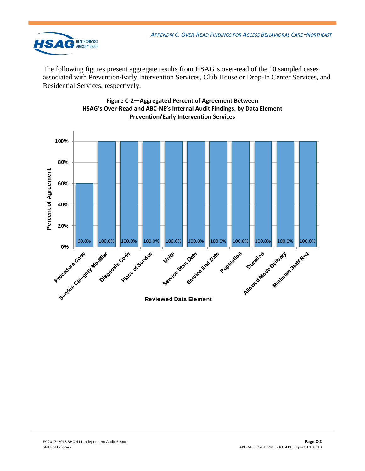

The following figures present aggregate results from HSAG's over-read of the 10 sampled cases associated with Prevention/Early Intervention Services, Club House or Drop-In Center Services, and Residential Services, respectively.



#### **Figure C-2—Aggregated Percent of Agreement Between HSAG's Over-Read and ABC-NE's Internal Audit Findings, by Data Element Prevention/Early Intervention Services**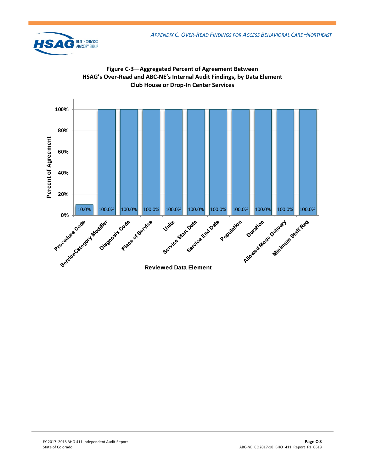



**Figure C-3—Aggregated Percent of Agreement Between**